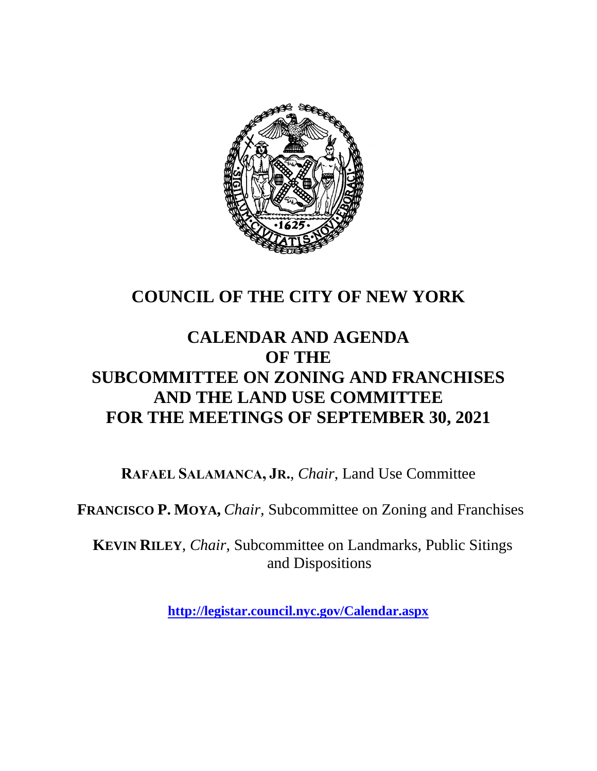

## **COUNCIL OF THE CITY OF NEW YORK**

## **CALENDAR AND AGENDA OF THE SUBCOMMITTEE ON ZONING AND FRANCHISES AND THE LAND USE COMMITTEE FOR THE MEETINGS OF SEPTEMBER 30, 2021**

**RAFAEL SALAMANCA, JR.**, *Chair*, Land Use Committee

**FRANCISCO P. MOYA,** *Chair,* Subcommittee on Zoning and Franchises

**KEVIN RILEY**, *Chair*, Subcommittee on Landmarks, Public Sitings and Dispositions

**<http://legistar.council.nyc.gov/Calendar.aspx>**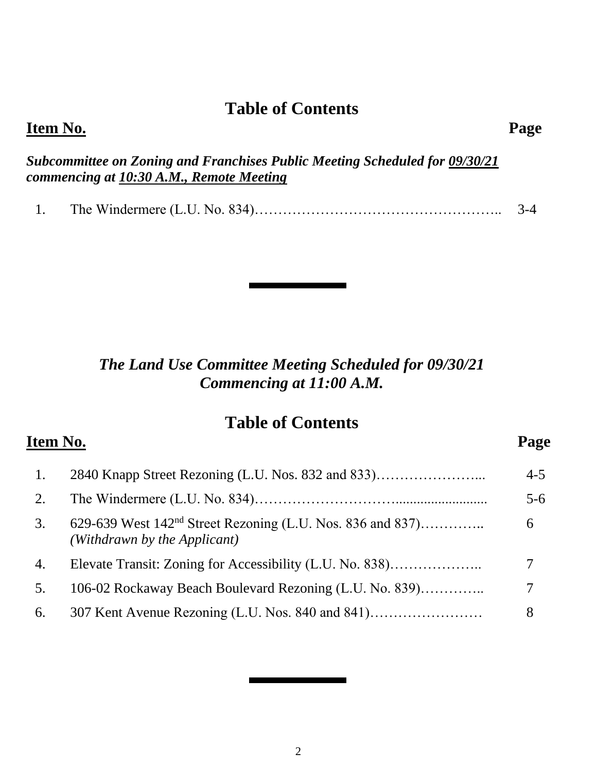#### **Table of Contents**

*Subcommittee on Zoning and Franchises Public Meeting Scheduled for 09/30/21 commencing at 10:30 A.M., Remote Meeting*

1. The Windermere (L.U. No. 834)…………………………………………….. 3-4

#### *The Land Use Committee Meeting Scheduled for 09/30/21 Commencing at 11:00 A.M.*

**Table of Contents**

# **Item No. Page**

| 1. | 2840 Knapp Street Rezoning (L.U. Nos. 832 and 833)                                                     | $4 - 5$ |
|----|--------------------------------------------------------------------------------------------------------|---------|
| 2. |                                                                                                        | $5-6$   |
| 3. | 629-639 West 142 <sup>nd</sup> Street Rezoning (L.U. Nos. 836 and 837)<br>(Withdrawn by the Applicant) | 6       |
| 4. | Elevate Transit: Zoning for Accessibility (L.U. No. 838)                                               |         |
| 5. | 106-02 Rockaway Beach Boulevard Rezoning (L.U. No. 839)                                                |         |
| 6. | 307 Kent Avenue Rezoning (L.U. Nos. 840 and 841)                                                       | 8       |

#### **Item No. Page**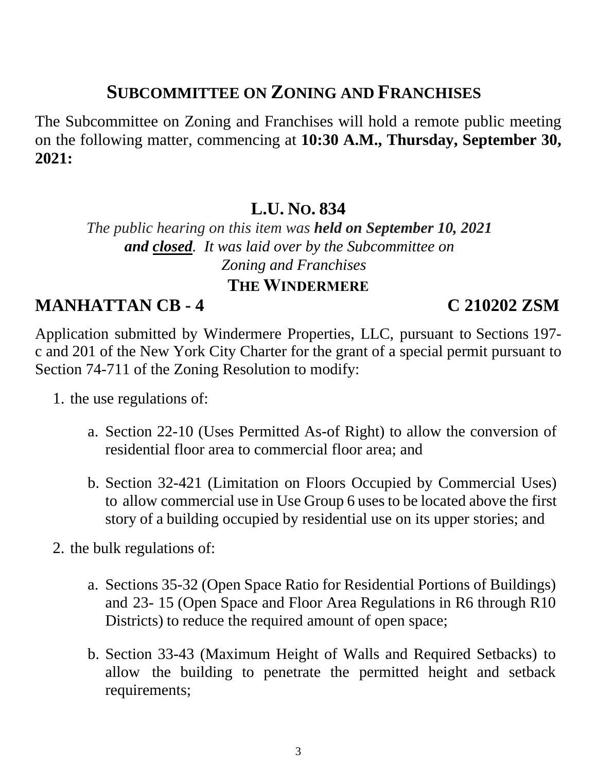### **SUBCOMMITTEE ON ZONING AND FRANCHISES**

The Subcommittee on Zoning and Franchises will hold a remote public meeting on the following matter, commencing at **10:30 A.M., Thursday, September 30, 2021:**

#### **L.U. NO. 834**

*The public hearing on this item was held on September 10, 2021 and closed. It was laid over by the Subcommittee on Zoning and Franchises*

#### **THE WINDERMERE**

#### **MANHATTAN CB - 4 C 210202 ZSM**

Application submitted by Windermere Properties, LLC, pursuant to Sections 197 c and 201 of the New York City Charter for the grant of a special permit pursuant to Section 74-711 of the Zoning Resolution to modify:

- 1. the use regulations of:
	- a. Section 22-10 (Uses Permitted As-of Right) to allow the conversion of residential floor area to commercial floor area; and
	- b. Section 32-421 (Limitation on Floors Occupied by Commercial Uses) to allow commercial use in Use Group 6 uses to be located above the first story of a building occupied by residential use on its upper stories; and
- 2. the bulk regulations of:
	- a. Sections 35-32 (Open Space Ratio for Residential Portions of Buildings) and 23- 15 (Open Space and Floor Area Regulations in R6 through R10 Districts) to reduce the required amount of open space;
	- b. Section 33-43 (Maximum Height of Walls and Required Setbacks) to allow the building to penetrate the permitted height and setback requirements;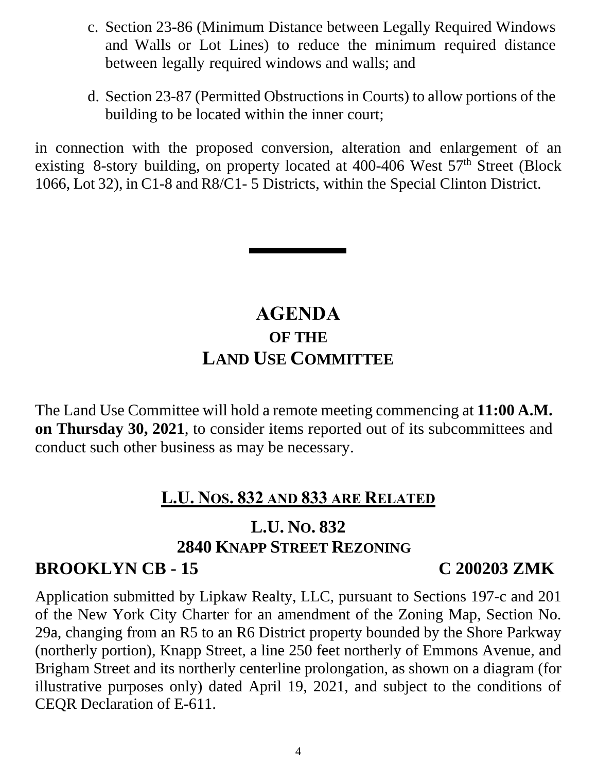- c. Section 23-86 (Minimum Distance between Legally Required Windows and Walls or Lot Lines) to reduce the minimum required distance between legally required windows and walls; and
- d. Section 23-87 (Permitted Obstructions in Courts) to allow portions of the building to be located within the inner court;

in connection with the proposed conversion, alteration and enlargement of an existing 8-story building, on property located at  $400-406$  West  $57<sup>th</sup>$  Street (Block 1066, Lot 32), in C1-8 and R8/C1- 5 Districts, within the Special Clinton District.

## **AGENDA OF THE LAND USE COMMITTEE**

The Land Use Committee will hold a remote meeting commencing at **11:00 A.M. on Thursday 30, 2021**, to consider items reported out of its subcommittees and conduct such other business as may be necessary.

### **L.U. NOS. 832 AND 833 ARE RELATED**

### **L.U. NO. 832 2840 KNAPP STREET REZONING**

### **BROOKLYN CB - 15 C 200203 ZMK**

Application submitted by Lipkaw Realty, LLC, pursuant to Sections 197-c and 201 of the New York City Charter for an amendment of the Zoning Map, Section No. 29a, changing from an R5 to an R6 District property bounded by the Shore Parkway (northerly portion), Knapp Street, a line 250 feet northerly of Emmons Avenue, and Brigham Street and its northerly centerline prolongation, as shown on a diagram (for illustrative purposes only) dated April 19, 2021, and subject to the conditions of CEQR Declaration of E-611.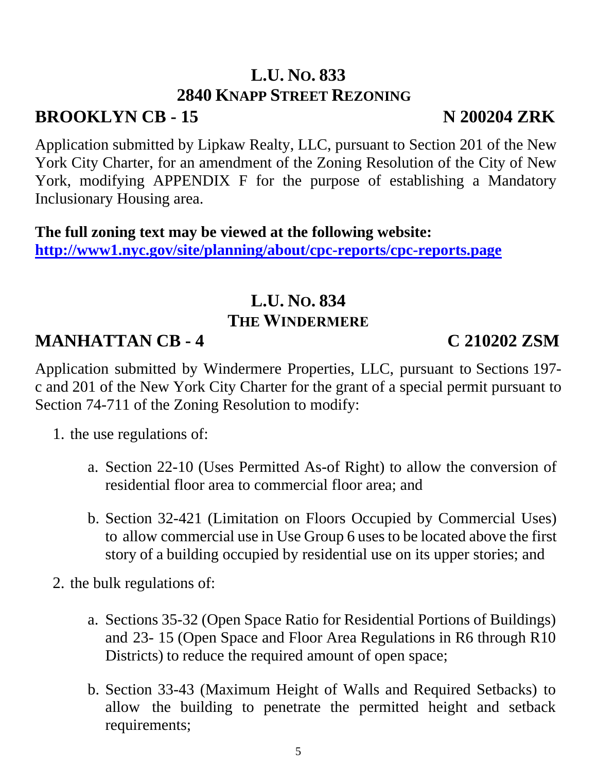### **L.U. NO. 833 2840 KNAPP STREET REZONING**

## **BROOKLYN CB - 15 N 200204 ZRK**

Application submitted by Lipkaw Realty, LLC, pursuant to Section 201 of the New York City Charter, for an amendment of the Zoning Resolution of the City of New York, modifying APPENDIX F for the purpose of establishing a Mandatory Inclusionary Housing area.

**The full zoning text may be viewed at the following website: <http://www1.nyc.gov/site/planning/about/cpc-reports/cpc-reports.page>**

## **L.U. NO. 834 THE WINDERMERE**

## **MANHATTAN CB - 4 C 210202 ZSM**

Application submitted by Windermere Properties, LLC, pursuant to Sections 197 c and 201 of the New York City Charter for the grant of a special permit pursuant to Section 74-711 of the Zoning Resolution to modify:

- 1. the use regulations of:
	- a. Section 22-10 (Uses Permitted As-of Right) to allow the conversion of residential floor area to commercial floor area; and
	- b. Section 32-421 (Limitation on Floors Occupied by Commercial Uses) to allow commercial use in Use Group 6 uses to be located above the first story of a building occupied by residential use on its upper stories; and
- 2. the bulk regulations of:
	- a. Sections 35-32 (Open Space Ratio for Residential Portions of Buildings) and 23- 15 (Open Space and Floor Area Regulations in R6 through R10 Districts) to reduce the required amount of open space;
	- b. Section 33-43 (Maximum Height of Walls and Required Setbacks) to allow the building to penetrate the permitted height and setback requirements;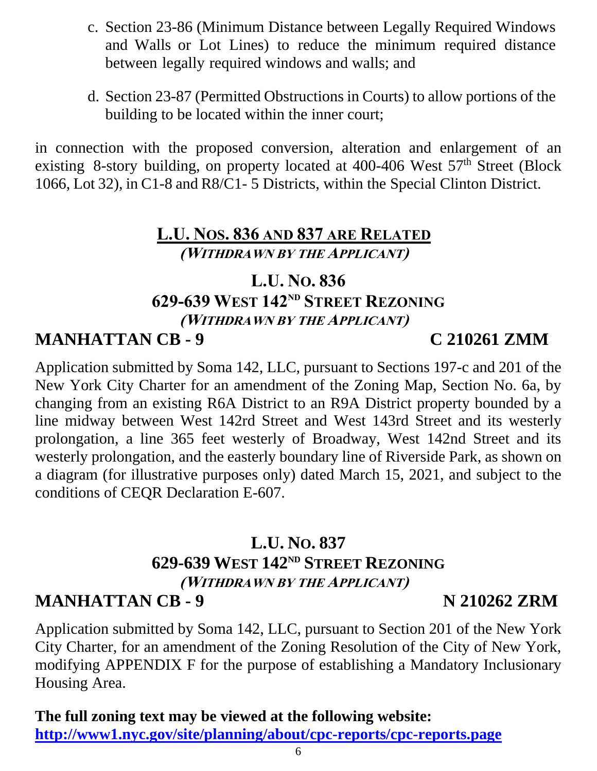- c. Section 23-86 (Minimum Distance between Legally Required Windows and Walls or Lot Lines) to reduce the minimum required distance between legally required windows and walls; and
- d. Section 23-87 (Permitted Obstructions in Courts) to allow portions of the building to be located within the inner court;

in connection with the proposed conversion, alteration and enlargement of an existing 8-story building, on property located at  $400-406$  West  $57<sup>th</sup>$  Street (Block 1066, Lot 32), in C1-8 and R8/C1- 5 Districts, within the Special Clinton District.

#### **L.U. NOS. 836 AND 837 ARE RELATED (WITHDRAWN BY THE APPLICANT)**

## **L.U. NO. 836 629-639 WEST 142ND STREET REZONING (WITHDRAWN BY THE APPLICANT)**

## **MANHATTAN CB - 9 C 210261 ZMM**

Application submitted by Soma 142, LLC, pursuant to Sections 197-c and 201 of the New York City Charter for an amendment of the Zoning Map, Section No. 6a, by changing from an existing R6A District to an R9A District property bounded by a line midway between West 142rd Street and West 143rd Street and its westerly prolongation, a line 365 feet westerly of Broadway, West 142nd Street and its westerly prolongation, and the easterly boundary line of Riverside Park, as shown on a diagram (for illustrative purposes only) dated March 15, 2021, and subject to the conditions of CEQR Declaration E-607.

#### **L.U. NO. 837 629-639 WEST 142ND STREET REZONING (WITHDRAWN BY THE APPLICANT) MANHATTAN CB - 9 N 210262 ZRM**

Application submitted by Soma 142, LLC, pursuant to Section 201 of the New York City Charter, for an amendment of the Zoning Resolution of the City of New York, modifying APPENDIX F for the purpose of establishing a Mandatory Inclusionary Housing Area.

**The full zoning text may be viewed at the following website: <http://www1.nyc.gov/site/planning/about/cpc-reports/cpc-reports.page>**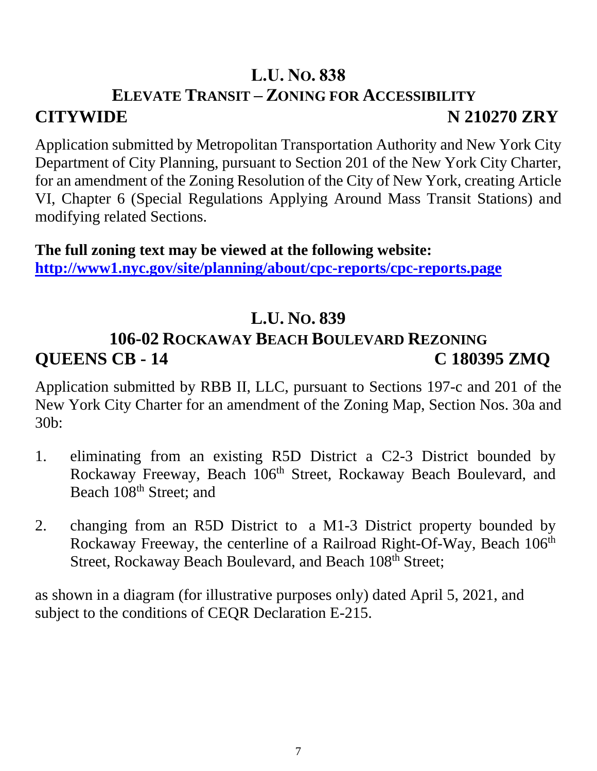## **L.U. NO. 838 ELEVATE TRANSIT – ZONING FOR ACCESSIBILITY CITYWIDE N 210270 ZRY**

Application submitted by Metropolitan Transportation Authority and New York City Department of City Planning, pursuant to Section 201 of the New York City Charter, for an amendment of the Zoning Resolution of the City of New York, creating Article VI, Chapter 6 (Special Regulations Applying Around Mass Transit Stations) and modifying related Sections.

**The full zoning text may be viewed at the following website: <http://www1.nyc.gov/site/planning/about/cpc-reports/cpc-reports.page>**

## **L.U. NO. 839**

### **106-02 ROCKAWAY BEACH BOULEVARD REZONING QUEENS CB - 14 C 180395 ZMQ**

Application submitted by RBB II, LLC, pursuant to Sections 197-c and 201 of the New York City Charter for an amendment of the Zoning Map, Section Nos. 30a and 30b:

- 1. eliminating from an existing R5D District a C2-3 District bounded by Rockaway Freeway, Beach 106<sup>th</sup> Street, Rockaway Beach Boulevard, and Beach  $108<sup>th</sup>$  Street; and
- 2. changing from an R5D District to a M1-3 District property bounded by Rockaway Freeway, the centerline of a Railroad Right-Of-Way, Beach 106<sup>th</sup> Street, Rockaway Beach Boulevard, and Beach 108<sup>th</sup> Street;

as shown in a diagram (for illustrative purposes only) dated April 5, 2021, and subject to the conditions of CEQR Declaration E-215.